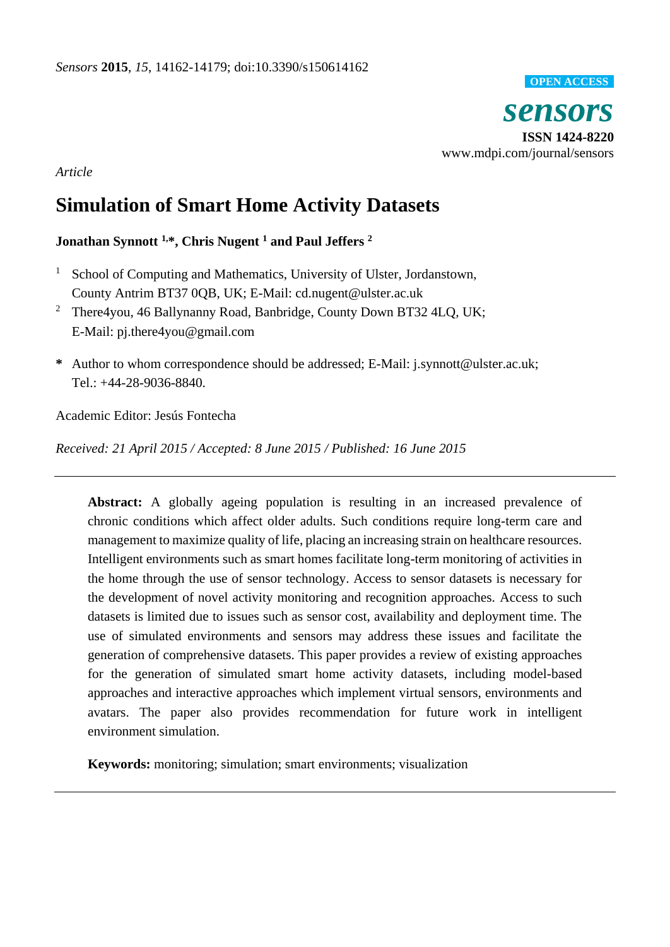

*Article*

# **Simulation of Smart Home Activity Datasets**

**Jonathan Synnott 1,\*, Chris Nugent <sup>1</sup> and Paul Jeffers <sup>2</sup>**

- <sup>1</sup> School of Computing and Mathematics, University of Ulster, Jordanstown, County Antrim BT37 0QB, UK; E-Mail: cd.nugent@ulster.ac.uk
- <sup>2</sup> There4you, 46 Ballynanny Road, Banbridge, County Down BT32 4LQ, UK; E-Mail: pj.there4you@gmail.com
- **\*** Author to whom correspondence should be addressed; E-Mail: j.synnott@ulster.ac.uk; Tel.: +44-28-9036-8840.

Academic Editor: Jesús Fontecha

*Received: 21 April 2015 / Accepted: 8 June 2015 / Published: 16 June 2015*

**Abstract:** A globally ageing population is resulting in an increased prevalence of chronic conditions which affect older adults. Such conditions require long-term care and management to maximize quality of life, placing an increasing strain on healthcare resources. Intelligent environments such as smart homes facilitate long-term monitoring of activities in the home through the use of sensor technology. Access to sensor datasets is necessary for the development of novel activity monitoring and recognition approaches. Access to such datasets is limited due to issues such as sensor cost, availability and deployment time. The use of simulated environments and sensors may address these issues and facilitate the generation of comprehensive datasets. This paper provides a review of existing approaches for the generation of simulated smart home activity datasets, including model-based approaches and interactive approaches which implement virtual sensors, environments and avatars. The paper also provides recommendation for future work in intelligent environment simulation.

**Keywords:** monitoring; simulation; smart environments; visualization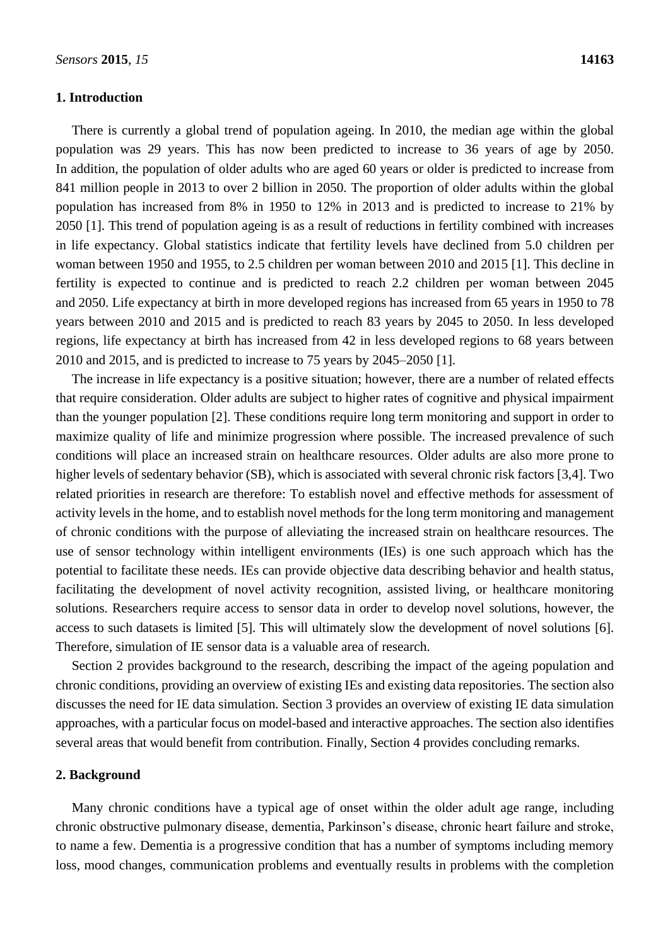#### **1. Introduction**

There is currently a global trend of population ageing. In 2010, the median age within the global population was 29 years. This has now been predicted to increase to 36 years of age by 2050. In addition, the population of older adults who are aged 60 years or older is predicted to increase from 841 million people in 2013 to over 2 billion in 2050. The proportion of older adults within the global population has increased from 8% in 1950 to 12% in 2013 and is predicted to increase to 21% by 2050 [1]. This trend of population ageing is as a result of reductions in fertility combined with increases in life expectancy. Global statistics indicate that fertility levels have declined from 5.0 children per woman between 1950 and 1955, to 2.5 children per woman between 2010 and 2015 [1]. This decline in fertility is expected to continue and is predicted to reach 2.2 children per woman between 2045 and 2050. Life expectancy at birth in more developed regions has increased from 65 years in 1950 to 78 years between 2010 and 2015 and is predicted to reach 83 years by 2045 to 2050. In less developed regions, life expectancy at birth has increased from 42 in less developed regions to 68 years between 2010 and 2015, and is predicted to increase to 75 years by 2045–2050 [1].

The increase in life expectancy is a positive situation; however, there are a number of related effects that require consideration. Older adults are subject to higher rates of cognitive and physical impairment than the younger population [2]. These conditions require long term monitoring and support in order to maximize quality of life and minimize progression where possible. The increased prevalence of such conditions will place an increased strain on healthcare resources. Older adults are also more prone to higher levels of sedentary behavior (SB), which is associated with several chronic risk factors [3,4]. Two related priorities in research are therefore: To establish novel and effective methods for assessment of activity levels in the home, and to establish novel methods for the long term monitoring and management of chronic conditions with the purpose of alleviating the increased strain on healthcare resources. The use of sensor technology within intelligent environments (IEs) is one such approach which has the potential to facilitate these needs. IEs can provide objective data describing behavior and health status, facilitating the development of novel activity recognition, assisted living, or healthcare monitoring solutions. Researchers require access to sensor data in order to develop novel solutions, however, the access to such datasets is limited [5]. This will ultimately slow the development of novel solutions [6]. Therefore, simulation of IE sensor data is a valuable area of research.

Section 2 provides background to the research, describing the impact of the ageing population and chronic conditions, providing an overview of existing IEs and existing data repositories. The section also discusses the need for IE data simulation. Section 3 provides an overview of existing IE data simulation approaches, with a particular focus on model-based and interactive approaches. The section also identifies several areas that would benefit from contribution. Finally, Section 4 provides concluding remarks.

### **2. Background**

Many chronic conditions have a typical age of onset within the older adult age range, including chronic obstructive pulmonary disease, dementia, Parkinson's disease, chronic heart failure and stroke, to name a few. Dementia is a progressive condition that has a number of symptoms including memory loss, mood changes, communication problems and eventually results in problems with the completion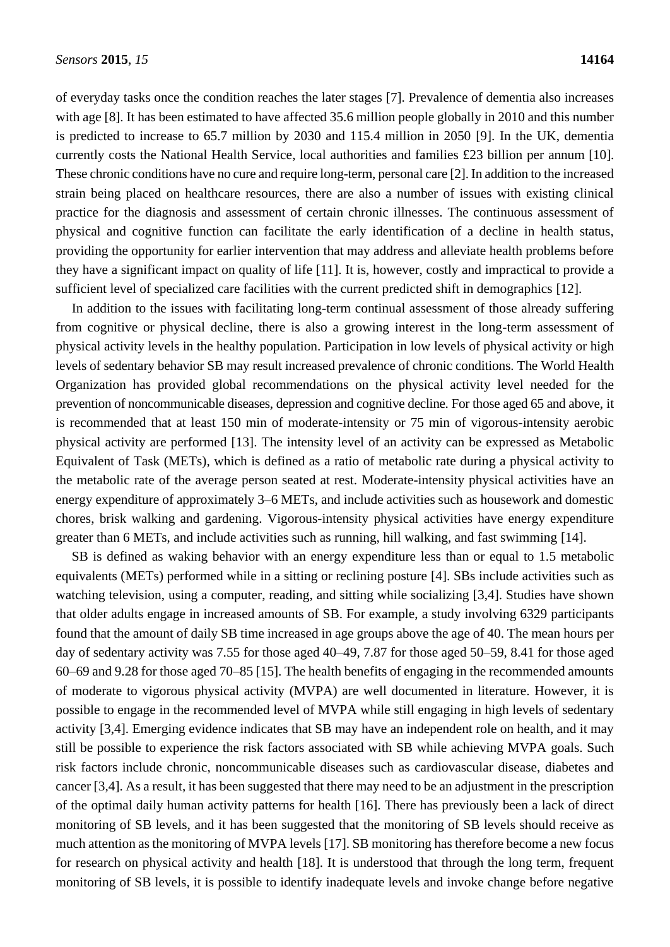of everyday tasks once the condition reaches the later stages [7]. Prevalence of dementia also increases with age [8]. It has been estimated to have affected 35.6 million people globally in 2010 and this number is predicted to increase to 65.7 million by 2030 and 115.4 million in 2050 [9]. In the UK, dementia currently costs the National Health Service, local authorities and families £23 billion per annum [10]. These chronic conditions have no cure and require long-term, personal care [2]. In addition to the increased strain being placed on healthcare resources, there are also a number of issues with existing clinical practice for the diagnosis and assessment of certain chronic illnesses. The continuous assessment of physical and cognitive function can facilitate the early identification of a decline in health status, providing the opportunity for earlier intervention that may address and alleviate health problems before they have a significant impact on quality of life [11]. It is, however, costly and impractical to provide a sufficient level of specialized care facilities with the current predicted shift in demographics [12].

In addition to the issues with facilitating long-term continual assessment of those already suffering from cognitive or physical decline, there is also a growing interest in the long-term assessment of physical activity levels in the healthy population. Participation in low levels of physical activity or high levels of sedentary behavior SB may result increased prevalence of chronic conditions. The World Health Organization has provided global recommendations on the physical activity level needed for the prevention of noncommunicable diseases, depression and cognitive decline. For those aged 65 and above, it is recommended that at least 150 min of moderate-intensity or 75 min of vigorous-intensity aerobic physical activity are performed [13]. The intensity level of an activity can be expressed as Metabolic Equivalent of Task (METs), which is defined as a ratio of metabolic rate during a physical activity to the metabolic rate of the average person seated at rest. Moderate-intensity physical activities have an energy expenditure of approximately 3–6 METs, and include activities such as housework and domestic chores, brisk walking and gardening. Vigorous-intensity physical activities have energy expenditure greater than 6 METs, and include activities such as running, hill walking, and fast swimming [14].

SB is defined as waking behavior with an energy expenditure less than or equal to 1.5 metabolic equivalents (METs) performed while in a sitting or reclining posture [4]. SBs include activities such as watching television, using a computer, reading, and sitting while socializing [3,4]. Studies have shown that older adults engage in increased amounts of SB. For example, a study involving 6329 participants found that the amount of daily SB time increased in age groups above the age of 40. The mean hours per day of sedentary activity was 7.55 for those aged 40–49, 7.87 for those aged 50–59, 8.41 for those aged 60–69 and 9.28 for those aged 70–85 [15]. The health benefits of engaging in the recommended amounts of moderate to vigorous physical activity (MVPA) are well documented in literature. However, it is possible to engage in the recommended level of MVPA while still engaging in high levels of sedentary activity [3,4]. Emerging evidence indicates that SB may have an independent role on health, and it may still be possible to experience the risk factors associated with SB while achieving MVPA goals. Such risk factors include chronic, noncommunicable diseases such as cardiovascular disease, diabetes and cancer [3,4]. As a result, it has been suggested that there may need to be an adjustment in the prescription of the optimal daily human activity patterns for health [16]. There has previously been a lack of direct monitoring of SB levels, and it has been suggested that the monitoring of SB levels should receive as much attention as the monitoring of MVPA levels [17]. SB monitoring has therefore become a new focus for research on physical activity and health [18]. It is understood that through the long term, frequent monitoring of SB levels, it is possible to identify inadequate levels and invoke change before negative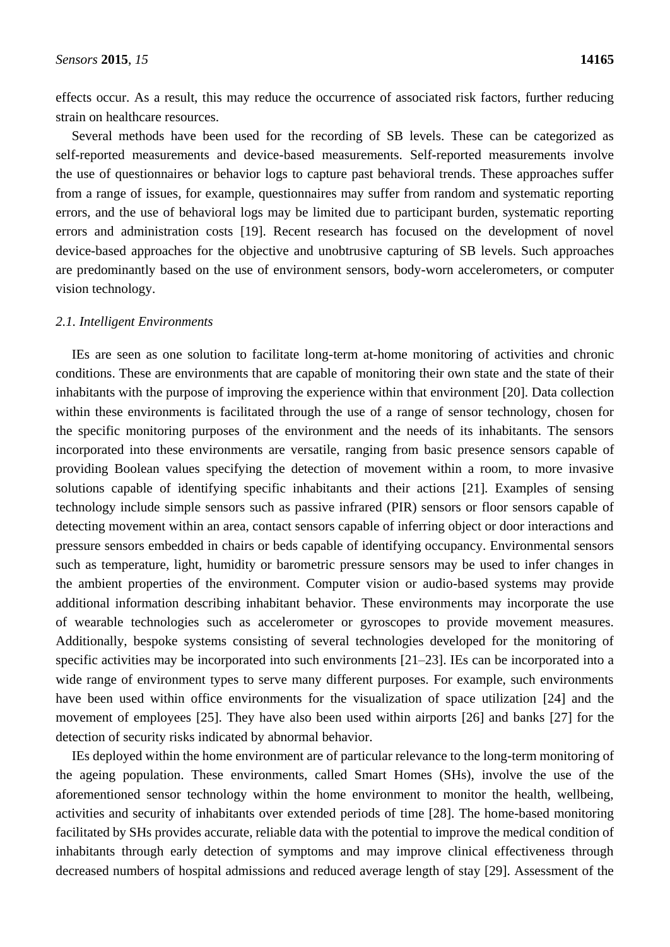effects occur. As a result, this may reduce the occurrence of associated risk factors, further reducing strain on healthcare resources.

Several methods have been used for the recording of SB levels. These can be categorized as self-reported measurements and device-based measurements. Self-reported measurements involve the use of questionnaires or behavior logs to capture past behavioral trends. These approaches suffer from a range of issues, for example, questionnaires may suffer from random and systematic reporting errors, and the use of behavioral logs may be limited due to participant burden, systematic reporting errors and administration costs [19]. Recent research has focused on the development of novel device-based approaches for the objective and unobtrusive capturing of SB levels. Such approaches are predominantly based on the use of environment sensors, body-worn accelerometers, or computer vision technology.

#### *2.1. Intelligent Environments*

IEs are seen as one solution to facilitate long-term at-home monitoring of activities and chronic conditions. These are environments that are capable of monitoring their own state and the state of their inhabitants with the purpose of improving the experience within that environment [20]. Data collection within these environments is facilitated through the use of a range of sensor technology, chosen for the specific monitoring purposes of the environment and the needs of its inhabitants. The sensors incorporated into these environments are versatile, ranging from basic presence sensors capable of providing Boolean values specifying the detection of movement within a room, to more invasive solutions capable of identifying specific inhabitants and their actions [21]. Examples of sensing technology include simple sensors such as passive infrared (PIR) sensors or floor sensors capable of detecting movement within an area, contact sensors capable of inferring object or door interactions and pressure sensors embedded in chairs or beds capable of identifying occupancy. Environmental sensors such as temperature, light, humidity or barometric pressure sensors may be used to infer changes in the ambient properties of the environment. Computer vision or audio-based systems may provide additional information describing inhabitant behavior. These environments may incorporate the use of wearable technologies such as accelerometer or gyroscopes to provide movement measures. Additionally, bespoke systems consisting of several technologies developed for the monitoring of specific activities may be incorporated into such environments [21–23]. IEs can be incorporated into a wide range of environment types to serve many different purposes. For example, such environments have been used within office environments for the visualization of space utilization [24] and the movement of employees [25]. They have also been used within airports [26] and banks [27] for the detection of security risks indicated by abnormal behavior.

IEs deployed within the home environment are of particular relevance to the long-term monitoring of the ageing population. These environments, called Smart Homes (SHs), involve the use of the aforementioned sensor technology within the home environment to monitor the health, wellbeing, activities and security of inhabitants over extended periods of time [28]. The home-based monitoring facilitated by SHs provides accurate, reliable data with the potential to improve the medical condition of inhabitants through early detection of symptoms and may improve clinical effectiveness through decreased numbers of hospital admissions and reduced average length of stay [29]. Assessment of the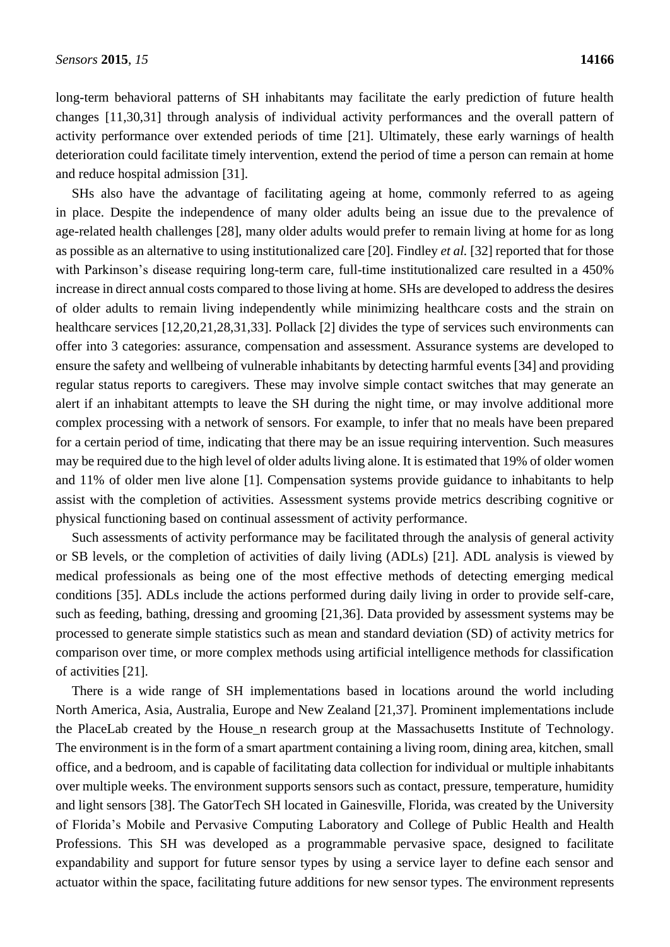long-term behavioral patterns of SH inhabitants may facilitate the early prediction of future health changes [11,30,31] through analysis of individual activity performances and the overall pattern of activity performance over extended periods of time [21]. Ultimately, these early warnings of health deterioration could facilitate timely intervention, extend the period of time a person can remain at home and reduce hospital admission [31].

SHs also have the advantage of facilitating ageing at home, commonly referred to as ageing in place. Despite the independence of many older adults being an issue due to the prevalence of age-related health challenges [28], many older adults would prefer to remain living at home for as long as possible as an alternative to using institutionalized care [20]. Findley *et al.* [32] reported that for those with Parkinson's disease requiring long-term care, full-time institutionalized care resulted in a 450% increase in direct annual costs compared to those living at home. SHs are developed to address the desires of older adults to remain living independently while minimizing healthcare costs and the strain on healthcare services [12,20,21,28,31,33]. Pollack [2] divides the type of services such environments can offer into 3 categories: assurance, compensation and assessment. Assurance systems are developed to ensure the safety and wellbeing of vulnerable inhabitants by detecting harmful events [34] and providing regular status reports to caregivers. These may involve simple contact switches that may generate an alert if an inhabitant attempts to leave the SH during the night time, or may involve additional more complex processing with a network of sensors. For example, to infer that no meals have been prepared for a certain period of time, indicating that there may be an issue requiring intervention. Such measures may be required due to the high level of older adults living alone. It is estimated that 19% of older women and 11% of older men live alone [1]. Compensation systems provide guidance to inhabitants to help assist with the completion of activities. Assessment systems provide metrics describing cognitive or physical functioning based on continual assessment of activity performance.

Such assessments of activity performance may be facilitated through the analysis of general activity or SB levels, or the completion of activities of daily living (ADLs) [21]. ADL analysis is viewed by medical professionals as being one of the most effective methods of detecting emerging medical conditions [35]. ADLs include the actions performed during daily living in order to provide self-care, such as feeding, bathing, dressing and grooming [21,36]. Data provided by assessment systems may be processed to generate simple statistics such as mean and standard deviation (SD) of activity metrics for comparison over time, or more complex methods using artificial intelligence methods for classification of activities [21].

There is a wide range of SH implementations based in locations around the world including North America, Asia, Australia, Europe and New Zealand [21,37]. Prominent implementations include the PlaceLab created by the House\_n research group at the Massachusetts Institute of Technology. The environment is in the form of a smart apartment containing a living room, dining area, kitchen, small office, and a bedroom, and is capable of facilitating data collection for individual or multiple inhabitants over multiple weeks. The environment supports sensors such as contact, pressure, temperature, humidity and light sensors [38]. The GatorTech SH located in Gainesville, Florida, was created by the University of Florida's Mobile and Pervasive Computing Laboratory and College of Public Health and Health Professions. This SH was developed as a programmable pervasive space, designed to facilitate expandability and support for future sensor types by using a service layer to define each sensor and actuator within the space, facilitating future additions for new sensor types. The environment represents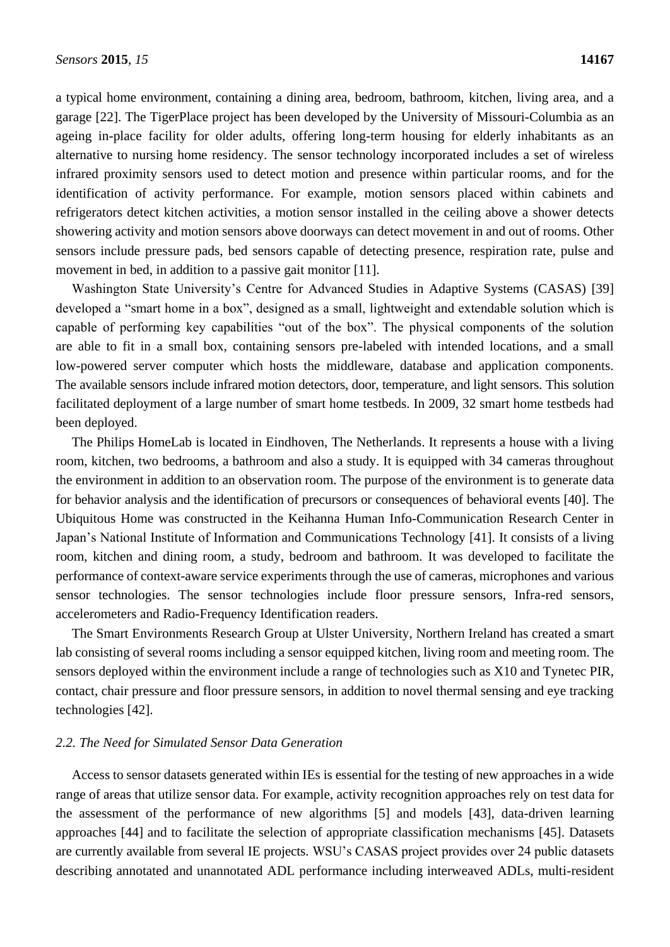a typical home environment, containing a dining area, bedroom, bathroom, kitchen, living area, and a garage [22]. The TigerPlace project has been developed by the University of Missouri-Columbia as an ageing in-place facility for older adults, offering long-term housing for elderly inhabitants as an alternative to nursing home residency. The sensor technology incorporated includes a set of wireless infrared proximity sensors used to detect motion and presence within particular rooms, and for the identification of activity performance. For example, motion sensors placed within cabinets and refrigerators detect kitchen activities, a motion sensor installed in the ceiling above a shower detects showering activity and motion sensors above doorways can detect movement in and out of rooms. Other sensors include pressure pads, bed sensors capable of detecting presence, respiration rate, pulse and movement in bed, in addition to a passive gait monitor [11].

Washington State University's Centre for Advanced Studies in Adaptive Systems (CASAS) [39] developed a "smart home in a box", designed as a small, lightweight and extendable solution which is capable of performing key capabilities "out of the box". The physical components of the solution are able to fit in a small box, containing sensors pre-labeled with intended locations, and a small low-powered server computer which hosts the middleware, database and application components. The available sensors include infrared motion detectors, door, temperature, and light sensors. This solution facilitated deployment of a large number of smart home testbeds. In 2009, 32 smart home testbeds had been deployed.

The Philips HomeLab is located in Eindhoven, The Netherlands. It represents a house with a living room, kitchen, two bedrooms, a bathroom and also a study. It is equipped with 34 cameras throughout the environment in addition to an observation room. The purpose of the environment is to generate data for behavior analysis and the identification of precursors or consequences of behavioral events [40]. The Ubiquitous Home was constructed in the Keihanna Human Info-Communication Research Center in Japan's National Institute of Information and Communications Technology [41]. It consists of a living room, kitchen and dining room, a study, bedroom and bathroom. It was developed to facilitate the performance of context-aware service experiments through the use of cameras, microphones and various sensor technologies. The sensor technologies include floor pressure sensors, Infra-red sensors, accelerometers and Radio-Frequency Identification readers.

The Smart Environments Research Group at Ulster University, Northern Ireland has created a smart lab consisting of several rooms including a sensor equipped kitchen, living room and meeting room. The sensors deployed within the environment include a range of technologies such as X10 and Tynetec PIR, contact, chair pressure and floor pressure sensors, in addition to novel thermal sensing and eye tracking technologies [42].

#### *2.2. The Need for Simulated Sensor Data Generation*

Access to sensor datasets generated within IEs is essential for the testing of new approaches in a wide range of areas that utilize sensor data. For example, activity recognition approaches rely on test data for the assessment of the performance of new algorithms [5] and models [43], data-driven learning approaches [44] and to facilitate the selection of appropriate classification mechanisms [45]. Datasets are currently available from several IE projects. WSU's CASAS project provides over 24 public datasets describing annotated and unannotated ADL performance including interweaved ADLs, multi-resident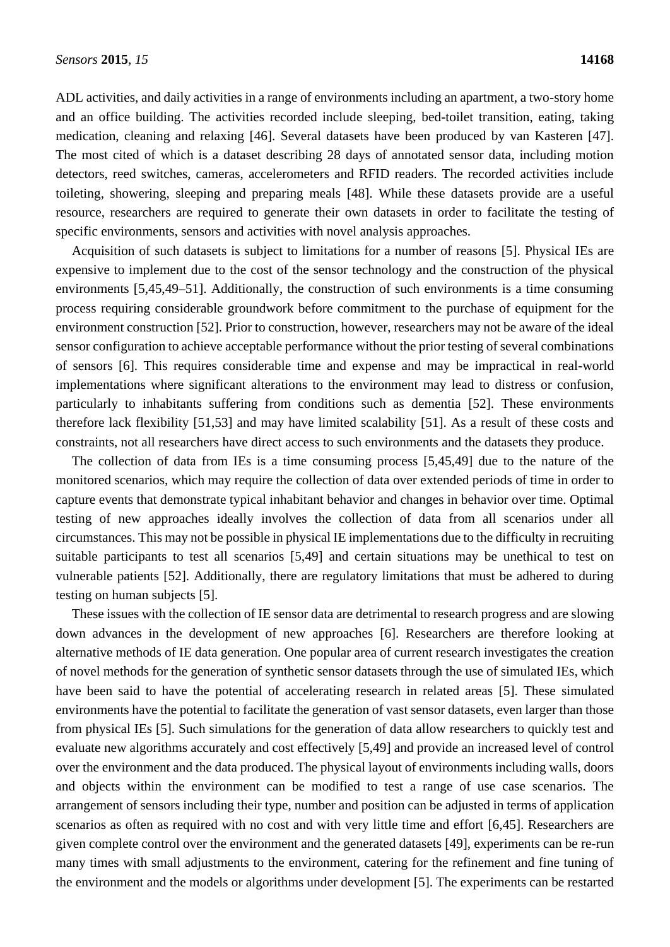ADL activities, and daily activities in a range of environments including an apartment, a two-story home and an office building. The activities recorded include sleeping, bed-toilet transition, eating, taking medication, cleaning and relaxing [46]. Several datasets have been produced by van Kasteren [47]. The most cited of which is a dataset describing 28 days of annotated sensor data, including motion detectors, reed switches, cameras, accelerometers and RFID readers. The recorded activities include toileting, showering, sleeping and preparing meals [48]. While these datasets provide are a useful resource, researchers are required to generate their own datasets in order to facilitate the testing of specific environments, sensors and activities with novel analysis approaches.

Acquisition of such datasets is subject to limitations for a number of reasons [5]. Physical IEs are expensive to implement due to the cost of the sensor technology and the construction of the physical environments [5,45,49–51]. Additionally, the construction of such environments is a time consuming process requiring considerable groundwork before commitment to the purchase of equipment for the environment construction [52]. Prior to construction, however, researchers may not be aware of the ideal sensor configuration to achieve acceptable performance without the prior testing of several combinations of sensors [6]. This requires considerable time and expense and may be impractical in real-world implementations where significant alterations to the environment may lead to distress or confusion, particularly to inhabitants suffering from conditions such as dementia [52]. These environments therefore lack flexibility [51,53] and may have limited scalability [51]. As a result of these costs and constraints, not all researchers have direct access to such environments and the datasets they produce.

The collection of data from IEs is a time consuming process [5,45,49] due to the nature of the monitored scenarios, which may require the collection of data over extended periods of time in order to capture events that demonstrate typical inhabitant behavior and changes in behavior over time. Optimal testing of new approaches ideally involves the collection of data from all scenarios under all circumstances. This may not be possible in physical IE implementations due to the difficulty in recruiting suitable participants to test all scenarios [5,49] and certain situations may be unethical to test on vulnerable patients [52]. Additionally, there are regulatory limitations that must be adhered to during testing on human subjects [5].

These issues with the collection of IE sensor data are detrimental to research progress and are slowing down advances in the development of new approaches [6]. Researchers are therefore looking at alternative methods of IE data generation. One popular area of current research investigates the creation of novel methods for the generation of synthetic sensor datasets through the use of simulated IEs, which have been said to have the potential of accelerating research in related areas [5]. These simulated environments have the potential to facilitate the generation of vast sensor datasets, even larger than those from physical IEs [5]. Such simulations for the generation of data allow researchers to quickly test and evaluate new algorithms accurately and cost effectively [5,49] and provide an increased level of control over the environment and the data produced. The physical layout of environments including walls, doors and objects within the environment can be modified to test a range of use case scenarios. The arrangement of sensors including their type, number and position can be adjusted in terms of application scenarios as often as required with no cost and with very little time and effort [6,45]. Researchers are given complete control over the environment and the generated datasets [49], experiments can be re-run many times with small adjustments to the environment, catering for the refinement and fine tuning of the environment and the models or algorithms under development [5]. The experiments can be restarted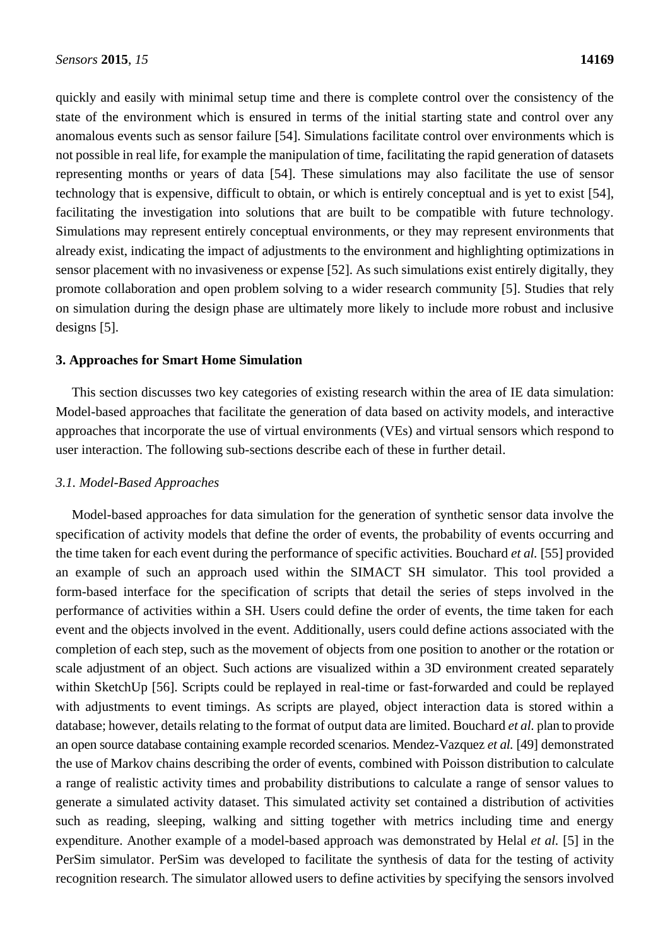quickly and easily with minimal setup time and there is complete control over the consistency of the state of the environment which is ensured in terms of the initial starting state and control over any anomalous events such as sensor failure [54]. Simulations facilitate control over environments which is not possible in real life, for example the manipulation of time, facilitating the rapid generation of datasets representing months or years of data [54]. These simulations may also facilitate the use of sensor technology that is expensive, difficult to obtain, or which is entirely conceptual and is yet to exist [54], facilitating the investigation into solutions that are built to be compatible with future technology. Simulations may represent entirely conceptual environments, or they may represent environments that already exist, indicating the impact of adjustments to the environment and highlighting optimizations in sensor placement with no invasiveness or expense [52]. As such simulations exist entirely digitally, they promote collaboration and open problem solving to a wider research community [5]. Studies that rely on simulation during the design phase are ultimately more likely to include more robust and inclusive designs [5].

#### **3. Approaches for Smart Home Simulation**

This section discusses two key categories of existing research within the area of IE data simulation: Model-based approaches that facilitate the generation of data based on activity models, and interactive approaches that incorporate the use of virtual environments (VEs) and virtual sensors which respond to user interaction. The following sub-sections describe each of these in further detail.

#### *3.1. Model-Based Approaches*

Model-based approaches for data simulation for the generation of synthetic sensor data involve the specification of activity models that define the order of events, the probability of events occurring and the time taken for each event during the performance of specific activities. Bouchard *et al.* [55] provided an example of such an approach used within the SIMACT SH simulator. This tool provided a form-based interface for the specification of scripts that detail the series of steps involved in the performance of activities within a SH. Users could define the order of events, the time taken for each event and the objects involved in the event. Additionally, users could define actions associated with the completion of each step, such as the movement of objects from one position to another or the rotation or scale adjustment of an object. Such actions are visualized within a 3D environment created separately within SketchUp [56]. Scripts could be replayed in real-time or fast-forwarded and could be replayed with adjustments to event timings. As scripts are played, object interaction data is stored within a database; however, details relating to the format of output data are limited. Bouchard *et al.* plan to provide an open source database containing example recorded scenarios. Mendez-Vazquez *et al.* [49] demonstrated the use of Markov chains describing the order of events, combined with Poisson distribution to calculate a range of realistic activity times and probability distributions to calculate a range of sensor values to generate a simulated activity dataset. This simulated activity set contained a distribution of activities such as reading, sleeping, walking and sitting together with metrics including time and energy expenditure. Another example of a model-based approach was demonstrated by Helal *et al.* [5] in the PerSim simulator. PerSim was developed to facilitate the synthesis of data for the testing of activity recognition research. The simulator allowed users to define activities by specifying the sensors involved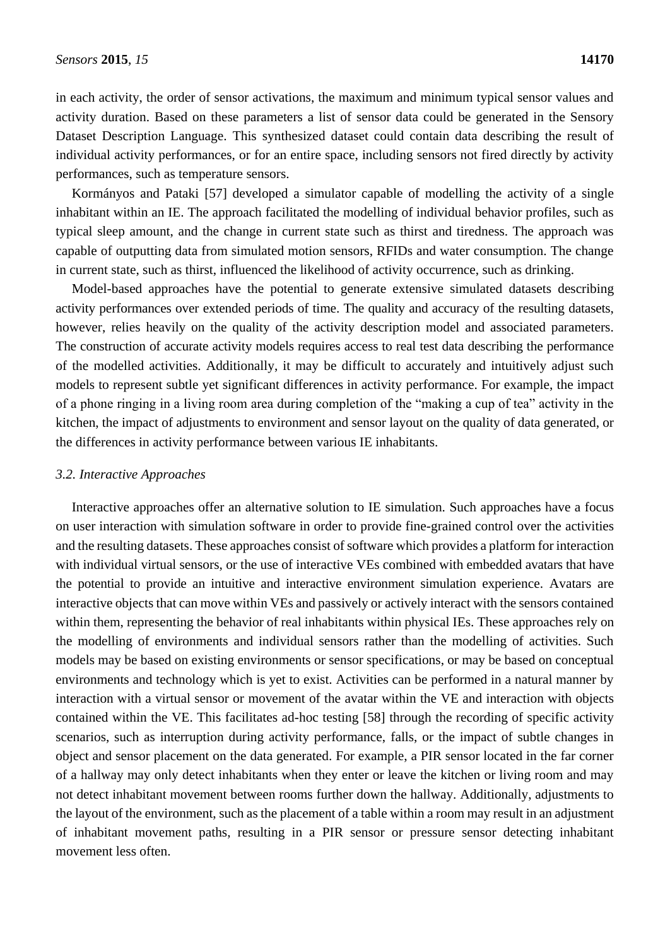in each activity, the order of sensor activations, the maximum and minimum typical sensor values and activity duration. Based on these parameters a list of sensor data could be generated in the Sensory Dataset Description Language. This synthesized dataset could contain data describing the result of individual activity performances, or for an entire space, including sensors not fired directly by activity performances, such as temperature sensors.

Kormányos and Pataki [57] developed a simulator capable of modelling the activity of a single inhabitant within an IE. The approach facilitated the modelling of individual behavior profiles, such as typical sleep amount, and the change in current state such as thirst and tiredness. The approach was capable of outputting data from simulated motion sensors, RFIDs and water consumption. The change in current state, such as thirst, influenced the likelihood of activity occurrence, such as drinking.

Model-based approaches have the potential to generate extensive simulated datasets describing activity performances over extended periods of time. The quality and accuracy of the resulting datasets, however, relies heavily on the quality of the activity description model and associated parameters. The construction of accurate activity models requires access to real test data describing the performance of the modelled activities. Additionally, it may be difficult to accurately and intuitively adjust such models to represent subtle yet significant differences in activity performance. For example, the impact of a phone ringing in a living room area during completion of the "making a cup of tea" activity in the kitchen, the impact of adjustments to environment and sensor layout on the quality of data generated, or the differences in activity performance between various IE inhabitants.

### *3.2. Interactive Approaches*

Interactive approaches offer an alternative solution to IE simulation. Such approaches have a focus on user interaction with simulation software in order to provide fine-grained control over the activities and the resulting datasets. These approaches consist of software which provides a platform for interaction with individual virtual sensors, or the use of interactive VEs combined with embedded avatars that have the potential to provide an intuitive and interactive environment simulation experience. Avatars are interactive objects that can move within VEs and passively or actively interact with the sensors contained within them, representing the behavior of real inhabitants within physical IEs. These approaches rely on the modelling of environments and individual sensors rather than the modelling of activities. Such models may be based on existing environments or sensor specifications, or may be based on conceptual environments and technology which is yet to exist. Activities can be performed in a natural manner by interaction with a virtual sensor or movement of the avatar within the VE and interaction with objects contained within the VE. This facilitates ad-hoc testing [58] through the recording of specific activity scenarios, such as interruption during activity performance, falls, or the impact of subtle changes in object and sensor placement on the data generated. For example, a PIR sensor located in the far corner of a hallway may only detect inhabitants when they enter or leave the kitchen or living room and may not detect inhabitant movement between rooms further down the hallway. Additionally, adjustments to the layout of the environment, such as the placement of a table within a room may result in an adjustment of inhabitant movement paths, resulting in a PIR sensor or pressure sensor detecting inhabitant movement less often.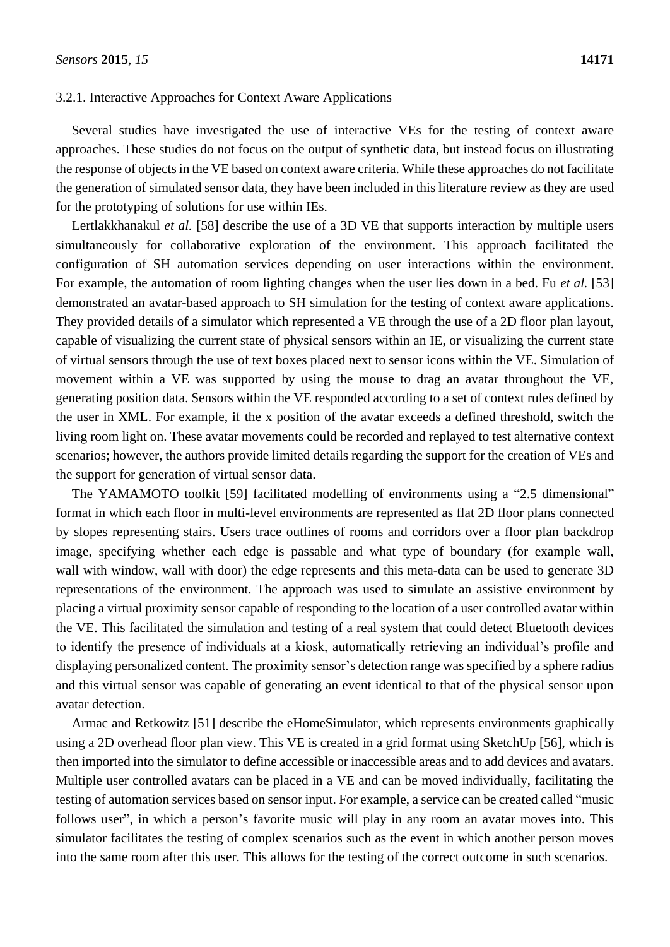#### 3.2.1. Interactive Approaches for Context Aware Applications

Several studies have investigated the use of interactive VEs for the testing of context aware approaches. These studies do not focus on the output of synthetic data, but instead focus on illustrating the response of objects in the VE based on context aware criteria. While these approaches do not facilitate the generation of simulated sensor data, they have been included in this literature review as they are used for the prototyping of solutions for use within IEs.

Lertlakkhanakul *et al.* [58] describe the use of a 3D VE that supports interaction by multiple users simultaneously for collaborative exploration of the environment. This approach facilitated the configuration of SH automation services depending on user interactions within the environment. For example, the automation of room lighting changes when the user lies down in a bed. Fu *et al.* [53] demonstrated an avatar-based approach to SH simulation for the testing of context aware applications. They provided details of a simulator which represented a VE through the use of a 2D floor plan layout, capable of visualizing the current state of physical sensors within an IE, or visualizing the current state of virtual sensors through the use of text boxes placed next to sensor icons within the VE. Simulation of movement within a VE was supported by using the mouse to drag an avatar throughout the VE, generating position data. Sensors within the VE responded according to a set of context rules defined by the user in XML. For example, if the x position of the avatar exceeds a defined threshold, switch the living room light on. These avatar movements could be recorded and replayed to test alternative context scenarios; however, the authors provide limited details regarding the support for the creation of VEs and the support for generation of virtual sensor data.

The YAMAMOTO toolkit [59] facilitated modelling of environments using a "2.5 dimensional" format in which each floor in multi-level environments are represented as flat 2D floor plans connected by slopes representing stairs. Users trace outlines of rooms and corridors over a floor plan backdrop image, specifying whether each edge is passable and what type of boundary (for example wall, wall with window, wall with door) the edge represents and this meta-data can be used to generate 3D representations of the environment. The approach was used to simulate an assistive environment by placing a virtual proximity sensor capable of responding to the location of a user controlled avatar within the VE. This facilitated the simulation and testing of a real system that could detect Bluetooth devices to identify the presence of individuals at a kiosk, automatically retrieving an individual's profile and displaying personalized content. The proximity sensor's detection range was specified by a sphere radius and this virtual sensor was capable of generating an event identical to that of the physical sensor upon avatar detection.

Armac and Retkowitz [51] describe the eHomeSimulator, which represents environments graphically using a 2D overhead floor plan view. This VE is created in a grid format using SketchUp [56], which is then imported into the simulator to define accessible or inaccessible areas and to add devices and avatars. Multiple user controlled avatars can be placed in a VE and can be moved individually, facilitating the testing of automation services based on sensor input. For example, a service can be created called "music follows user", in which a person's favorite music will play in any room an avatar moves into. This simulator facilitates the testing of complex scenarios such as the event in which another person moves into the same room after this user. This allows for the testing of the correct outcome in such scenarios.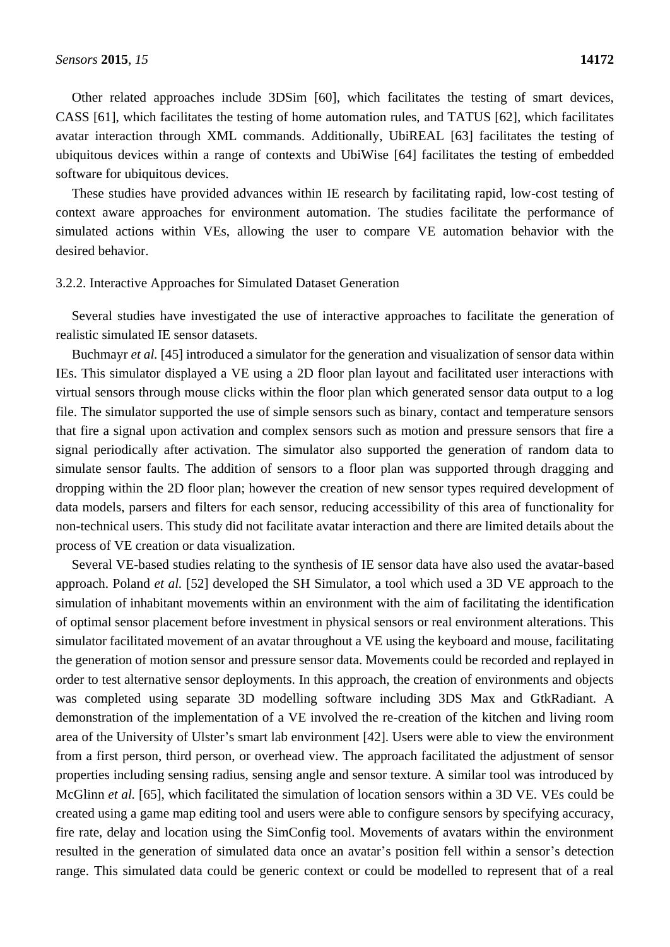Other related approaches include 3DSim [60], which facilitates the testing of smart devices, CASS [61], which facilitates the testing of home automation rules, and TATUS [62], which facilitates avatar interaction through XML commands. Additionally, UbiREAL [63] facilitates the testing of ubiquitous devices within a range of contexts and UbiWise [64] facilitates the testing of embedded software for ubiquitous devices.

These studies have provided advances within IE research by facilitating rapid, low-cost testing of context aware approaches for environment automation. The studies facilitate the performance of simulated actions within VEs, allowing the user to compare VE automation behavior with the desired behavior.

#### 3.2.2. Interactive Approaches for Simulated Dataset Generation

Several studies have investigated the use of interactive approaches to facilitate the generation of realistic simulated IE sensor datasets.

Buchmayr *et al.* [45] introduced a simulator for the generation and visualization of sensor data within IEs. This simulator displayed a VE using a 2D floor plan layout and facilitated user interactions with virtual sensors through mouse clicks within the floor plan which generated sensor data output to a log file. The simulator supported the use of simple sensors such as binary, contact and temperature sensors that fire a signal upon activation and complex sensors such as motion and pressure sensors that fire a signal periodically after activation. The simulator also supported the generation of random data to simulate sensor faults. The addition of sensors to a floor plan was supported through dragging and dropping within the 2D floor plan; however the creation of new sensor types required development of data models, parsers and filters for each sensor, reducing accessibility of this area of functionality for non-technical users. This study did not facilitate avatar interaction and there are limited details about the process of VE creation or data visualization.

Several VE-based studies relating to the synthesis of IE sensor data have also used the avatar-based approach. Poland *et al.* [52] developed the SH Simulator, a tool which used a 3D VE approach to the simulation of inhabitant movements within an environment with the aim of facilitating the identification of optimal sensor placement before investment in physical sensors or real environment alterations. This simulator facilitated movement of an avatar throughout a VE using the keyboard and mouse, facilitating the generation of motion sensor and pressure sensor data. Movements could be recorded and replayed in order to test alternative sensor deployments. In this approach, the creation of environments and objects was completed using separate 3D modelling software including 3DS Max and GtkRadiant. A demonstration of the implementation of a VE involved the re-creation of the kitchen and living room area of the University of Ulster's smart lab environment [42]. Users were able to view the environment from a first person, third person, or overhead view. The approach facilitated the adjustment of sensor properties including sensing radius, sensing angle and sensor texture. A similar tool was introduced by McGlinn *et al.* [65], which facilitated the simulation of location sensors within a 3D VE. VEs could be created using a game map editing tool and users were able to configure sensors by specifying accuracy, fire rate, delay and location using the SimConfig tool. Movements of avatars within the environment resulted in the generation of simulated data once an avatar's position fell within a sensor's detection range. This simulated data could be generic context or could be modelled to represent that of a real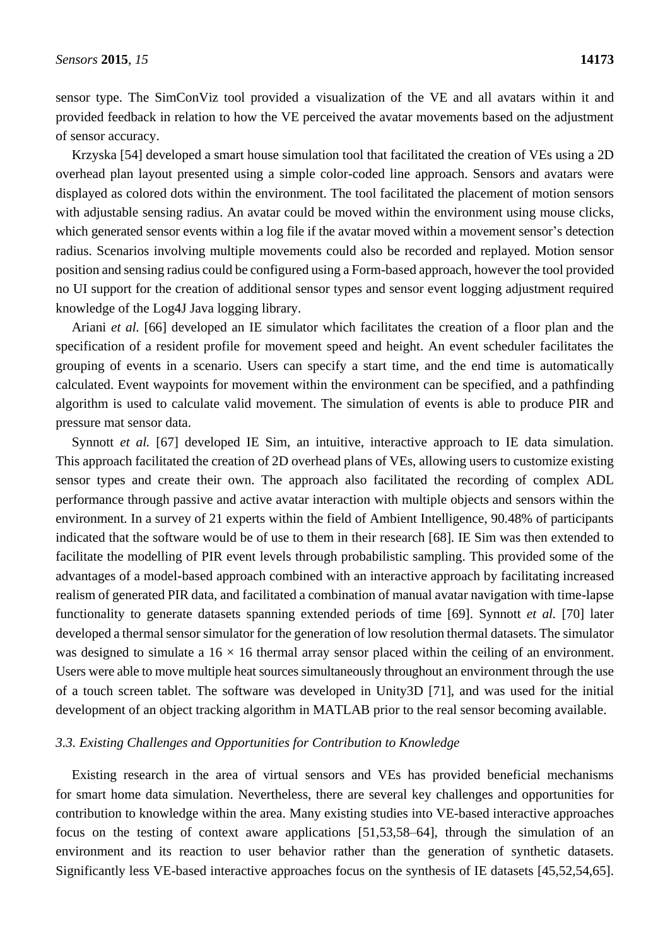sensor type. The SimConViz tool provided a visualization of the VE and all avatars within it and provided feedback in relation to how the VE perceived the avatar movements based on the adjustment of sensor accuracy.

Krzyska [54] developed a smart house simulation tool that facilitated the creation of VEs using a 2D overhead plan layout presented using a simple color-coded line approach. Sensors and avatars were displayed as colored dots within the environment. The tool facilitated the placement of motion sensors with adjustable sensing radius. An avatar could be moved within the environment using mouse clicks, which generated sensor events within a log file if the avatar moved within a movement sensor's detection radius. Scenarios involving multiple movements could also be recorded and replayed. Motion sensor position and sensing radius could be configured using a Form-based approach, however the tool provided no UI support for the creation of additional sensor types and sensor event logging adjustment required knowledge of the Log4J Java logging library.

Ariani *et al.* [66] developed an IE simulator which facilitates the creation of a floor plan and the specification of a resident profile for movement speed and height. An event scheduler facilitates the grouping of events in a scenario. Users can specify a start time, and the end time is automatically calculated. Event waypoints for movement within the environment can be specified, and a pathfinding algorithm is used to calculate valid movement. The simulation of events is able to produce PIR and pressure mat sensor data.

Synnott *et al.* [67] developed IE Sim, an intuitive, interactive approach to IE data simulation. This approach facilitated the creation of 2D overhead plans of VEs, allowing users to customize existing sensor types and create their own. The approach also facilitated the recording of complex ADL performance through passive and active avatar interaction with multiple objects and sensors within the environment. In a survey of 21 experts within the field of Ambient Intelligence, 90.48% of participants indicated that the software would be of use to them in their research [68]. IE Sim was then extended to facilitate the modelling of PIR event levels through probabilistic sampling. This provided some of the advantages of a model-based approach combined with an interactive approach by facilitating increased realism of generated PIR data, and facilitated a combination of manual avatar navigation with time-lapse functionality to generate datasets spanning extended periods of time [69]. Synnott *et al.* [70] later developed a thermal sensor simulator for the generation of low resolution thermal datasets. The simulator was designed to simulate a  $16 \times 16$  thermal array sensor placed within the ceiling of an environment. Users were able to move multiple heat sources simultaneously throughout an environment through the use of a touch screen tablet. The software was developed in Unity3D [71], and was used for the initial development of an object tracking algorithm in MATLAB prior to the real sensor becoming available.

### *3.3. Existing Challenges and Opportunities for Contribution to Knowledge*

Existing research in the area of virtual sensors and VEs has provided beneficial mechanisms for smart home data simulation. Nevertheless, there are several key challenges and opportunities for contribution to knowledge within the area. Many existing studies into VE-based interactive approaches focus on the testing of context aware applications [51,53,58–64], through the simulation of an environment and its reaction to user behavior rather than the generation of synthetic datasets. Significantly less VE-based interactive approaches focus on the synthesis of IE datasets [45,52,54,65].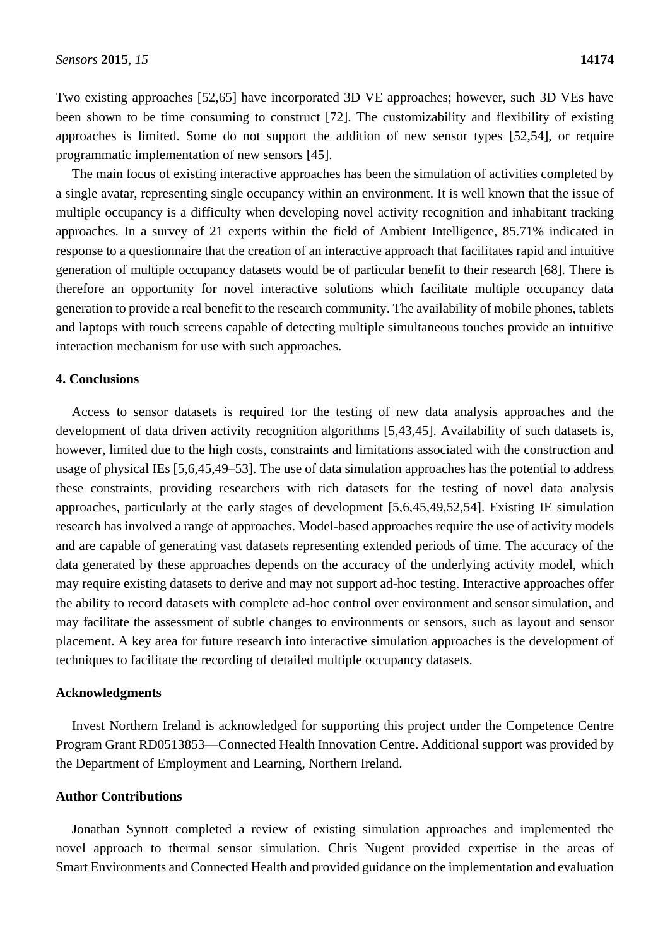Two existing approaches [52,65] have incorporated 3D VE approaches; however, such 3D VEs have been shown to be time consuming to construct [72]. The customizability and flexibility of existing approaches is limited. Some do not support the addition of new sensor types [52,54], or require programmatic implementation of new sensors [45].

The main focus of existing interactive approaches has been the simulation of activities completed by a single avatar, representing single occupancy within an environment. It is well known that the issue of multiple occupancy is a difficulty when developing novel activity recognition and inhabitant tracking approaches. In a survey of 21 experts within the field of Ambient Intelligence, 85.71% indicated in response to a questionnaire that the creation of an interactive approach that facilitates rapid and intuitive generation of multiple occupancy datasets would be of particular benefit to their research [68]. There is therefore an opportunity for novel interactive solutions which facilitate multiple occupancy data generation to provide a real benefit to the research community. The availability of mobile phones, tablets and laptops with touch screens capable of detecting multiple simultaneous touches provide an intuitive interaction mechanism for use with such approaches.

#### **4. Conclusions**

Access to sensor datasets is required for the testing of new data analysis approaches and the development of data driven activity recognition algorithms [5,43,45]. Availability of such datasets is, however, limited due to the high costs, constraints and limitations associated with the construction and usage of physical IEs [5,6,45,49–53]. The use of data simulation approaches has the potential to address these constraints, providing researchers with rich datasets for the testing of novel data analysis approaches, particularly at the early stages of development [5,6,45,49,52,54]. Existing IE simulation research has involved a range of approaches. Model-based approaches require the use of activity models and are capable of generating vast datasets representing extended periods of time. The accuracy of the data generated by these approaches depends on the accuracy of the underlying activity model, which may require existing datasets to derive and may not support ad-hoc testing. Interactive approaches offer the ability to record datasets with complete ad-hoc control over environment and sensor simulation, and may facilitate the assessment of subtle changes to environments or sensors, such as layout and sensor placement. A key area for future research into interactive simulation approaches is the development of techniques to facilitate the recording of detailed multiple occupancy datasets.

#### **Acknowledgments**

Invest Northern Ireland is acknowledged for supporting this project under the Competence Centre Program Grant RD0513853—Connected Health Innovation Centre. Additional support was provided by the Department of Employment and Learning, Northern Ireland.

## **Author Contributions**

Jonathan Synnott completed a review of existing simulation approaches and implemented the novel approach to thermal sensor simulation. Chris Nugent provided expertise in the areas of Smart Environments and Connected Health and provided guidance on the implementation and evaluation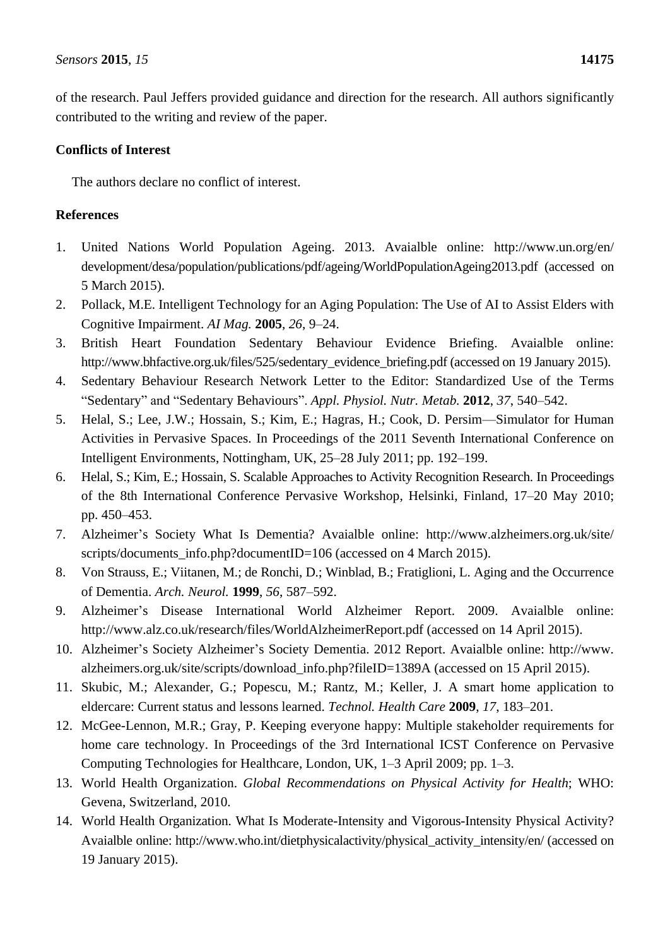of the research. Paul Jeffers provided guidance and direction for the research. All authors significantly contributed to the writing and review of the paper.

# **Conflicts of Interest**

The authors declare no conflict of interest.

# **References**

- 1. United Nations World Population Ageing. 2013. Avaialble online: http://www.un.org/en/ development/desa/population/publications/pdf/ageing/WorldPopulationAgeing2013.pdf (accessed on 5 March 2015).
- 2. Pollack, M.E. Intelligent Technology for an Aging Population: The Use of AI to Assist Elders with Cognitive Impairment. *AI Mag.* **2005**, *26*, 9–24.
- 3. British Heart Foundation Sedentary Behaviour Evidence Briefing. Avaialble online: http://www.bhfactive.org.uk/files/525/sedentary\_evidence\_briefing.pdf (accessed on 19 January 2015).
- 4. Sedentary Behaviour Research Network Letter to the Editor: Standardized Use of the Terms "Sedentary" and "Sedentary Behaviours". *Appl. Physiol. Nutr. Metab.* **2012**, *37*, 540–542.
- 5. Helal, S.; Lee, J.W.; Hossain, S.; Kim, E.; Hagras, H.; Cook, D. Persim—Simulator for Human Activities in Pervasive Spaces. In Proceedings of the 2011 Seventh International Conference on Intelligent Environments, Nottingham, UK, 25–28 July 2011; pp. 192–199.
- 6. Helal, S.; Kim, E.; Hossain, S. Scalable Approaches to Activity Recognition Research. In Proceedings of the 8th International Conference Pervasive Workshop, Helsinki, Finland, 17–20 May 2010; pp. 450–453.
- 7. Alzheimer's Society What Is Dementia? Avaialble online: http://www.alzheimers.org.uk/site/ scripts/documents\_info.php?documentID=106 (accessed on 4 March 2015).
- 8. Von Strauss, E.; Viitanen, M.; de Ronchi, D.; Winblad, B.; Fratiglioni, L. Aging and the Occurrence of Dementia. *Arch. Neurol.* **1999**, *56*, 587–592.
- 9. Alzheimer's Disease International World Alzheimer Report. 2009. Avaialble online: http://www.alz.co.uk/research/files/WorldAlzheimerReport.pdf (accessed on 14 April 2015).
- 10. Alzheimer's Society Alzheimer's Society Dementia. 2012 Report. Avaialble online: http://www. alzheimers.org.uk/site/scripts/download\_info.php?fileID=1389A (accessed on 15 April 2015).
- 11. Skubic, M.; Alexander, G.; Popescu, M.; Rantz, M.; Keller, J. A smart home application to eldercare: Current status and lessons learned. *Technol. Health Care* **2009**, *17*, 183–201.
- 12. McGee-Lennon, M.R.; Gray, P. Keeping everyone happy: Multiple stakeholder requirements for home care technology. In Proceedings of the 3rd International ICST Conference on Pervasive Computing Technologies for Healthcare, London, UK, 1–3 April 2009; pp. 1–3.
- 13. World Health Organization. *Global Recommendations on Physical Activity for Health*; WHO: Gevena, Switzerland, 2010.
- 14. World Health Organization. What Is Moderate-Intensity and Vigorous-Intensity Physical Activity? Avaialble online: http://www.who.int/dietphysicalactivity/physical\_activity\_intensity/en/ (accessed on 19 January 2015).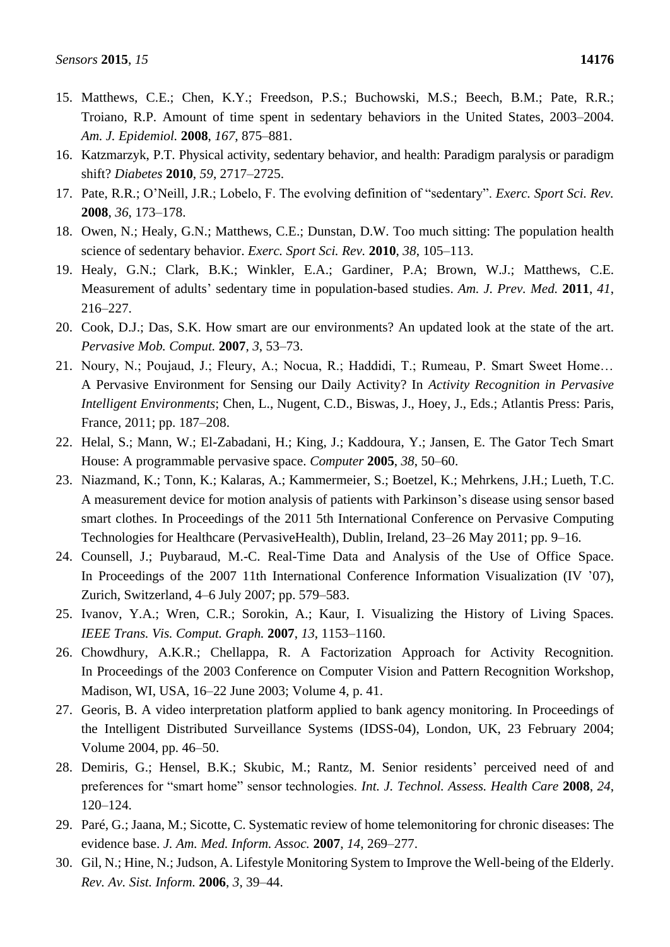- 15. Matthews, C.E.; Chen, K.Y.; Freedson, P.S.; Buchowski, M.S.; Beech, B.M.; Pate, R.R.; Troiano, R.P. Amount of time spent in sedentary behaviors in the United States, 2003–2004. *Am. J. Epidemiol.* **2008**, *167*, 875–881.
- 16. Katzmarzyk, P.T. Physical activity, sedentary behavior, and health: Paradigm paralysis or paradigm shift? *Diabetes* **2010**, *59*, 2717–2725.
- 17. Pate, R.R.; O'Neill, J.R.; Lobelo, F. The evolving definition of "sedentary". *Exerc. Sport Sci. Rev.* **2008**, *36*, 173–178.
- 18. Owen, N.; Healy, G.N.; Matthews, C.E.; Dunstan, D.W. Too much sitting: The population health science of sedentary behavior. *Exerc. Sport Sci. Rev.* **2010**, *38*, 105–113.
- 19. Healy, G.N.; Clark, B.K.; Winkler, E.A.; Gardiner, P.A; Brown, W.J.; Matthews, C.E. Measurement of adults' sedentary time in population-based studies. *Am. J. Prev. Med.* **2011**, *41*, 216–227.
- 20. Cook, D.J.; Das, S.K. How smart are our environments? An updated look at the state of the art. *Pervasive Mob. Comput.* **2007**, *3*, 53–73.
- 21. Noury, N.; Poujaud, J.; Fleury, A.; Nocua, R.; Haddidi, T.; Rumeau, P. Smart Sweet Home… A Pervasive Environment for Sensing our Daily Activity? In *Activity Recognition in Pervasive Intelligent Environments*; Chen, L., Nugent, C.D., Biswas, J., Hoey, J., Eds.; Atlantis Press: Paris, France, 2011; pp. 187–208.
- 22. Helal, S.; Mann, W.; El-Zabadani, H.; King, J.; Kaddoura, Y.; Jansen, E. The Gator Tech Smart House: A programmable pervasive space. *Computer* **2005**, *38*, 50–60.
- 23. Niazmand, K.; Tonn, K.; Kalaras, A.; Kammermeier, S.; Boetzel, K.; Mehrkens, J.H.; Lueth, T.C. A measurement device for motion analysis of patients with Parkinson's disease using sensor based smart clothes. In Proceedings of the 2011 5th International Conference on Pervasive Computing Technologies for Healthcare (PervasiveHealth), Dublin, Ireland, 23–26 May 2011; pp. 9–16.
- 24. Counsell, J.; Puybaraud, M.-C. Real-Time Data and Analysis of the Use of Office Space. In Proceedings of the 2007 11th International Conference Information Visualization (IV '07), Zurich, Switzerland, 4–6 July 2007; pp. 579–583.
- 25. Ivanov, Y.A.; Wren, C.R.; Sorokin, A.; Kaur, I. Visualizing the History of Living Spaces. *IEEE Trans. Vis. Comput. Graph.* **2007**, *13*, 1153–1160.
- 26. Chowdhury, A.K.R.; Chellappa, R. A Factorization Approach for Activity Recognition. In Proceedings of the 2003 Conference on Computer Vision and Pattern Recognition Workshop, Madison, WI, USA, 16–22 June 2003; Volume 4, p. 41.
- 27. Georis, B. A video interpretation platform applied to bank agency monitoring. In Proceedings of the Intelligent Distributed Surveillance Systems (IDSS-04), London, UK, 23 February 2004; Volume 2004, pp. 46–50.
- 28. Demiris, G.; Hensel, B.K.; Skubic, M.; Rantz, M. Senior residents' perceived need of and preferences for "smart home" sensor technologies. *Int. J. Technol. Assess. Health Care* **2008**, *24*, 120–124.
- 29. Paré, G.; Jaana, M.; Sicotte, C. Systematic review of home telemonitoring for chronic diseases: The evidence base. *J. Am. Med. Inform. Assoc.* **2007**, *14*, 269–277.
- 30. Gil, N.; Hine, N.; Judson, A. Lifestyle Monitoring System to Improve the Well-being of the Elderly. *Rev. Av. Sist. Inform.* **2006**, *3*, 39–44.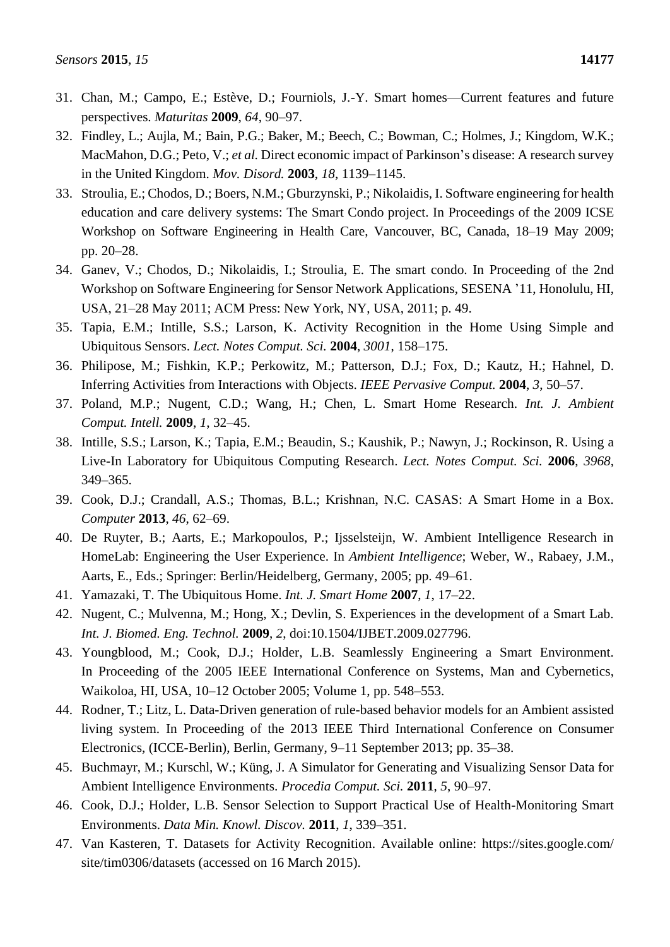- 31. Chan, M.; Campo, E.; Estève, D.; Fourniols, J.-Y. Smart homes—Current features and future perspectives. *Maturitas* **2009**, *64*, 90–97.
- 32. Findley, L.; Aujla, M.; Bain, P.G.; Baker, M.; Beech, C.; Bowman, C.; Holmes, J.; Kingdom, W.K.; MacMahon, D.G.; Peto, V.; *et al.* Direct economic impact of Parkinson's disease: A research survey in the United Kingdom. *Mov. Disord.* **2003**, *18*, 1139–1145.
- 33. Stroulia, E.; Chodos, D.; Boers, N.M.; Gburzynski, P.; Nikolaidis, I. Software engineering for health education and care delivery systems: The Smart Condo project. In Proceedings of the 2009 ICSE Workshop on Software Engineering in Health Care, Vancouver, BC, Canada, 18–19 May 2009; pp. 20–28.
- 34. Ganev, V.; Chodos, D.; Nikolaidis, I.; Stroulia, E. The smart condo. In Proceeding of the 2nd Workshop on Software Engineering for Sensor Network Applications, SESENA '11, Honolulu, HI, USA, 21–28 May 2011; ACM Press: New York, NY, USA, 2011; p. 49.
- 35. Tapia, E.M.; Intille, S.S.; Larson, K. Activity Recognition in the Home Using Simple and Ubiquitous Sensors. *Lect. Notes Comput. Sci.* **2004**, *3001*, 158–175.
- 36. Philipose, M.; Fishkin, K.P.; Perkowitz, M.; Patterson, D.J.; Fox, D.; Kautz, H.; Hahnel, D. Inferring Activities from Interactions with Objects. *IEEE Pervasive Comput.* **2004**, *3*, 50–57.
- 37. Poland, M.P.; Nugent, C.D.; Wang, H.; Chen, L. Smart Home Research. *Int. J. Ambient Comput. Intell.* **2009**, *1*, 32–45.
- 38. Intille, S.S.; Larson, K.; Tapia, E.M.; Beaudin, S.; Kaushik, P.; Nawyn, J.; Rockinson, R. Using a Live-In Laboratory for Ubiquitous Computing Research. *Lect. Notes Comput. Sci.* **2006**, *3968*, 349–365.
- 39. Cook, D.J.; Crandall, A.S.; Thomas, B.L.; Krishnan, N.C. CASAS: A Smart Home in a Box. *Computer* **2013**, *46*, 62–69.
- 40. De Ruyter, B.; Aarts, E.; Markopoulos, P.; Ijsselsteijn, W. Ambient Intelligence Research in HomeLab: Engineering the User Experience. In *Ambient Intelligence*; Weber, W., Rabaey, J.M., Aarts, E., Eds.; Springer: Berlin/Heidelberg, Germany, 2005; pp. 49–61.
- 41. Yamazaki, T. The Ubiquitous Home. *Int. J. Smart Home* **2007**, *1*, 17–22.
- 42. Nugent, C.; Mulvenna, M.; Hong, X.; Devlin, S. Experiences in the development of a Smart Lab. *Int. J. Biomed. Eng. Technol.* **2009**, *2*, doi:10.1504/IJBET.2009.027796.
- 43. Youngblood, M.; Cook, D.J.; Holder, L.B. Seamlessly Engineering a Smart Environment. In Proceeding of the 2005 IEEE International Conference on Systems, Man and Cybernetics, Waikoloa, HI, USA, 10–12 October 2005; Volume 1, pp. 548–553.
- 44. Rodner, T.; Litz, L. Data-Driven generation of rule-based behavior models for an Ambient assisted living system. In Proceeding of the 2013 IEEE Third International Conference on Consumer Electronics, (ICCE-Berlin), Berlin, Germany, 9–11 September 2013; pp. 35–38.
- 45. Buchmayr, M.; Kurschl, W.; Küng, J. A Simulator for Generating and Visualizing Sensor Data for Ambient Intelligence Environments. *Procedia Comput. Sci.* **2011**, *5*, 90–97.
- 46. Cook, D.J.; Holder, L.B. Sensor Selection to Support Practical Use of Health-Monitoring Smart Environments. *Data Min. Knowl. Discov.* **2011**, *1*, 339–351.
- 47. Van Kasteren, T. Datasets for Activity Recognition. Available online: https://sites.google.com/ site/tim0306/datasets (accessed on 16 March 2015).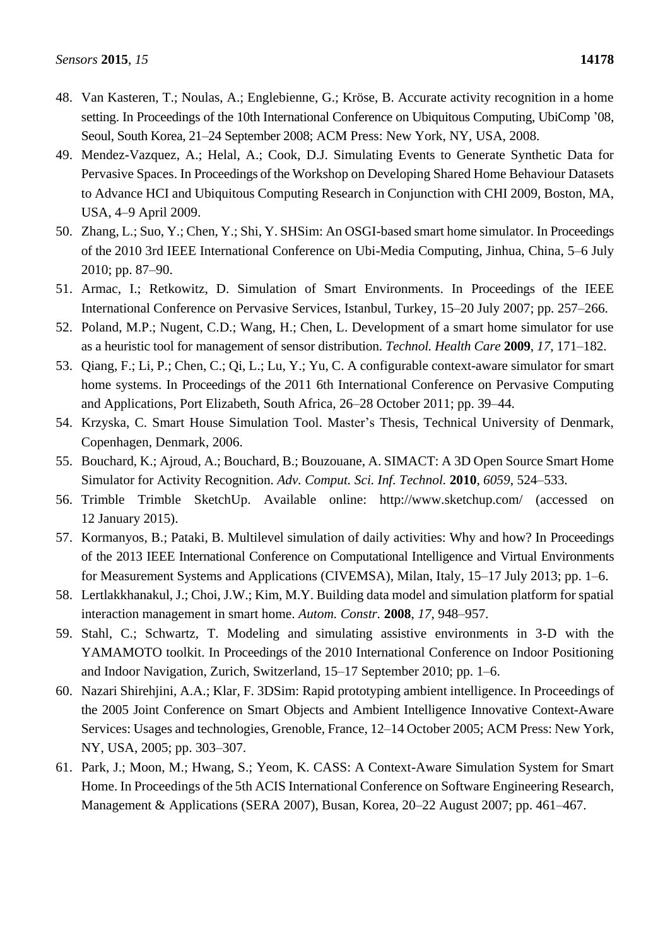- 48. Van Kasteren, T.; Noulas, A.; Englebienne, G.; Kröse, B. Accurate activity recognition in a home setting. In Proceedings of the 10th International Conference on Ubiquitous Computing, UbiComp '08, Seoul, South Korea, 21–24 September 2008; ACM Press: New York, NY, USA, 2008.
- 49. Mendez-Vazquez, A.; Helal, A.; Cook, D.J. Simulating Events to Generate Synthetic Data for Pervasive Spaces. In Proceedings of the Workshop on Developing Shared Home Behaviour Datasets to Advance HCI and Ubiquitous Computing Research in Conjunction with CHI 2009, Boston, MA, USA, 4–9 April 2009.
- 50. Zhang, L.; Suo, Y.; Chen, Y.; Shi, Y. SHSim: An OSGI-based smart home simulator. In Proceedings of the 2010 3rd IEEE International Conference on Ubi-Media Computing, Jinhua, China, 5–6 July 2010; pp. 87–90.
- 51. Armac, I.; Retkowitz, D. Simulation of Smart Environments. In Proceedings of the IEEE International Conference on Pervasive Services, Istanbul, Turkey, 15–20 July 2007; pp. 257–266.
- 52. Poland, M.P.; Nugent, C.D.; Wang, H.; Chen, L. Development of a smart home simulator for use as a heuristic tool for management of sensor distribution. *Technol. Health Care* **2009**, *17*, 171–182.
- 53. Qiang, F.; Li, P.; Chen, C.; Qi, L.; Lu, Y.; Yu, C. A configurable context-aware simulator for smart home systems. In Proceedings of the *2*011 6th International Conference on Pervasive Computing and Applications, Port Elizabeth, South Africa, 26–28 October 2011; pp. 39–44.
- 54. Krzyska, C. Smart House Simulation Tool. Master's Thesis, Technical University of Denmark, Copenhagen, Denmark, 2006.
- 55. Bouchard, K.; Ajroud, A.; Bouchard, B.; Bouzouane, A. SIMACT: A 3D Open Source Smart Home Simulator for Activity Recognition. *Adv. Comput. Sci. Inf. Technol.* **2010**, *6059*, 524–533.
- 56. Trimble Trimble SketchUp. Available online: http://www.sketchup.com/ (accessed on 12 January 2015).
- 57. Kormanyos, B.; Pataki, B. Multilevel simulation of daily activities: Why and how? In Proceedings of the 2013 IEEE International Conference on Computational Intelligence and Virtual Environments for Measurement Systems and Applications (CIVEMSA), Milan, Italy, 15–17 July 2013; pp. 1–6.
- 58. Lertlakkhanakul, J.; Choi, J.W.; Kim, M.Y. Building data model and simulation platform for spatial interaction management in smart home. *Autom. Constr.* **2008**, *17*, 948–957.
- 59. Stahl, C.; Schwartz, T. Modeling and simulating assistive environments in 3-D with the YAMAMOTO toolkit. In Proceedings of the 2010 International Conference on Indoor Positioning and Indoor Navigation, Zurich, Switzerland, 15–17 September 2010; pp. 1–6.
- 60. Nazari Shirehjini, A.A.; Klar, F. 3DSim: Rapid prototyping ambient intelligence. In Proceedings of the 2005 Joint Conference on Smart Objects and Ambient Intelligence Innovative Context-Aware Services: Usages and technologies, Grenoble, France, 12–14 October 2005; ACM Press: New York, NY, USA, 2005; pp. 303–307.
- 61. Park, J.; Moon, M.; Hwang, S.; Yeom, K. CASS: A Context-Aware Simulation System for Smart Home. In Proceedings of the 5th ACIS International Conference on Software Engineering Research, Management & Applications (SERA 2007), Busan, Korea, 20–22 August 2007; pp. 461–467.